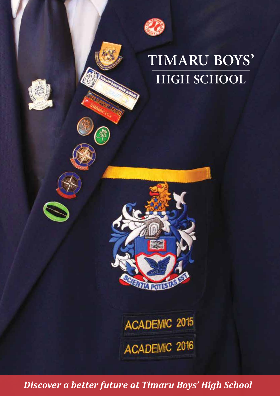

# **TIMARU BOYS' HIGH SCHOOL**





ACADEMIC 2015 ACADEMIC 2016

*Discover a better future at Timaru Boys' High School*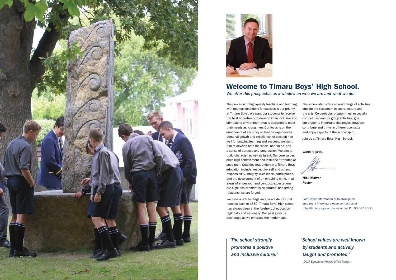



## Welcome to Timaru Boys' High School.

*We offer this prospectus as a window on who we are and what we do.* 

The provision of high-quality teaching and learning with optimal conditions for success is our priority at Timaru Boys'. We want our students to receive the best opportunity to develop in an inclusive and stimulating environment that is designed to meet their needs as young men. Our focus is on the enrichment of each boy so that he experiences personal growth and excellence, to position him well for ongoing learning and success. We want him to develop both his 'heart' and 'mind' and a sense of purpose and progression. We aim to build character as well as talent. Our core values drive high achievement and instil the attributes of good men. Qualities that underpin a Timaru Boys' education include: respect for self and others, responsibility, integrity, excellence, participation, and the development of an enquiring mind. In all areas of endeavour and conduct, expectations are high, achievement is celebrated, and strong relationships are forged.

We have a rich heritage and proud identity that reaches back to 1880. Timaru Boys' High school has always been at the forefront of education regionally and nationally. Our past gives us anchorage as we embrace the modern age.

The school also offers a broad range of activities outside the classroom in sport, culture and the arts. Co-curricular programmes, especially competitive team or group activities, give our students important challenges; boys can contribute and thrive in different contexts and enjoy aspects of the school spirit.

Join us at Timaru Boys' High School.

Warm regards,

Nick McIvor *Rector*

For further information or to arrange an enrolment interview please contact us at tbhs@timaruboys.school.nz or call Ph: 03 687 7560.

## *"School values are well known by students and actively taught and promoted."*

(2017 Education Review Office Report)

*"The school strongly promotes a positive and inclusive culture."*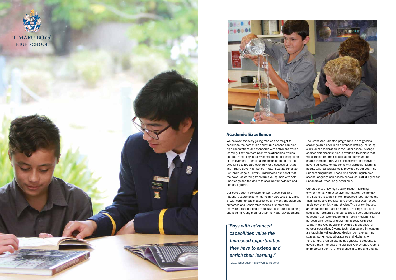



#### Academic Excellence

We believe that every young man can be taught to achieve to the best of his ability. Our lessons combine high expectations and standards with active and varied learning. They promote positive relationships, values and role modelling, healthy competition and recognition of achievement. There is a firm focus on the pursuit of excellence to prepare each boy for a successful future. The Timaru Boys' High School motto, *Scientia Potestas Est* (Knowledge is Power), underscores our belief that the power of learning transforms young men with selfknowledge and the desire to seek new knowledge and personal growth.

Our boys perform consistently well above local and national academic benchmarks in NCEA Levels 1, 2 and 3; with commendable Excellence and Merit Endorsement outcomes and Scholarship results. Our staff are motivated, experienced, responsive, and adept at joining and leading young men for their individual development.

The Gifted and Talented programme is designed to challenge able boys in an advanced setting, including curriculum acceleration in the junior school. A range of extension opportunities is available to seniors that will complement their qualification pathways and enable them to think, work and express themselves at advanced levels. For students with particular learning needs, tailored assistance is provided by our Learning Support programme. Those who speak English as a second language can access specialist ESOL (English for Speakers of Other Languages) help.

Our students enjoy high-quality modern learning environments, with extensive Information Technology (IT). Science is taught in well-resourced laboratories that facilitate superb practical and theoretical experiences in biology, chemistry and physics. The performing arts are enhanced by practice rooms, a mixing suite, and a special performance and dance area. Sport and physical education achievement benefits from a modern fit-forpurpose gym facility and swimming pool. John Scott Lodge in the Godley Valley provides a great base for outdoor education. Diverse technologies and innovation are taught in well-equipped design rooms, e-learning spaces, workshops, laboratories and kitchens. A horticultural area on site helps agriculture students to develop their interests and abilities. Our whanau room is an important centre for excellence in te reo and tikanga.

*"Boys with advanced capabilities value the increased opportunities they have to extend and enrich their learning."* 

(2017 Education Review Office Report)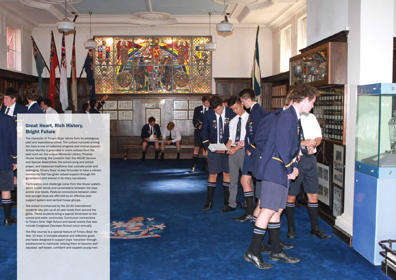## Great Heart, Rich History, Bright Future

The character of Timaru Boys' stems from its prestigious past and aspirational ethos. The culture nurtured among the boys is one of collective progress and mutual support. School identity is grounded in iconic echoes from the past such as: the unique Memorial Library; Thomas House boarding; the Lovelock Oak; the ANZAC Service and Special Assemblies; the school song and school prayer; and treasured traditions that cultivate pride and belonging. Timaru Boys' is also fortunate to have a vibrant community that has given valued support through the generations and shared in its many successes.

 $\frac{0.5 \text{ m}}{0.0 \text{ m}}$ 

Participation and challenge come from the House system, which builds bonds and camaraderie between the boys across year levels. Pastoral connections between older and younger boys are affirmed by an effective peer support system and vertical house groups.

The school is enhanced by the 20-30 international students who join us at all year levels from around the globe. These students bring a special dimension to the school and wider community. Curriculum connections to Timaru Girls' High School and social events that also include Craighead Diocesan School occur annually.

The Rite Journey is a special feature of Timaru Boys' for Year 10 boys. It includes physical and reflective goals and tasks designed to support boys' transition through adolescence to manhood, helping them to become welladjusted, self-aware, confident and capable young men.

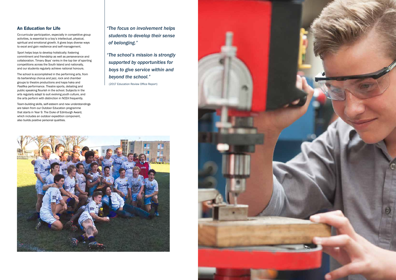## An Education for Life

Co-curricular participation, especially in competitive group activities, is essential to a boy's intellectual, physical, spiritual and emotional growth. It gives boys diverse ways to excel and gain resilience and self-management.

Sport helps boys to develop holistically; fostering commitment and friendship as well as perseverance and collaboration. Timaru Boys' ranks in the top tier of sporting competitions across the South Island and nationally, and our students regularly achieve national honours.

The school is accomplished in the performing arts, from its barbershop chorus and jazz, rock and chamber groups to theatre productions and kapa haka and Pasifika performance. Theatre sports, debating and public speaking flourish in the school. Subjects in the arts regularly adapt to suit evolving youth culture, and the arts perform with distinction in NCEA frequently.

Team-building skills, self-esteem and new understandings are taken from our Outdoor Education programme that starts in Year 9. The Duke of Edinburgh Award, which includes an outdoor expedition component, also builds positive personal qualities.

*"The focus on involvement helps students to develop their sense of belonging."*

*"The school's mission is strongly supported by opportunities for boys to give service within and beyond the school."*

(2017 Education Review Office Report)



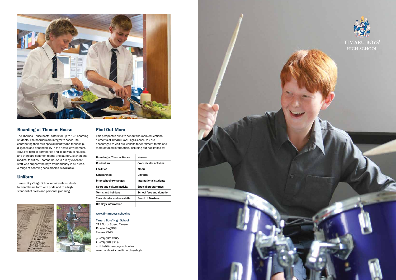

## Boarding at Thomas House

The Thomas House hostel caters for up to 125 boarding students. The boarders are integral to school life, contributing their own special identity and friendship, diligence and dependability in the hostel environment. Boys live both in dormitories and in individual houses, and there are common rooms and laundry, kitchen and medical facilities. Thomas House is run by excellent staff who support the boys tremendously in all areas. A range of boarding scholarships is available.

### Uniform

Timaru Boys' High School requires its students to wear the uniform with pride and to a high standard of dress and personal grooming.



## Find Out More

This prospectus aims to set out the main educational elements of Timaru Boys' High School. You are encouraged to visit our website for enrolment forms and more detailed information, including but not limited to:

| <b>Boarding at Thomas House</b> | <b>Houses</b>            |
|---------------------------------|--------------------------|
| Curriculum                      | Co-curricular activites  |
| <b>Facilities</b>               | Maori                    |
| <b>Scholarships</b>             | Uniform                  |
| Inter-school exchanges          | International students   |
| Sport and cultural activity     | Special programmes       |
| Terms and holidays              | School fees and donation |
| The calendar and newsletter     | <b>Board of Trustees</b> |
| <b>Old Boys information</b>     |                          |

#### www.timaruboys.school.nz

Timaru Boys' High School 211 North Street, Timaru Private Bag 903, Timaru 7940

p. (03) 687 7560  $f. (03) 688 8219$ e. tbhs@timaruboys.school.nz www.facebook.com/timaruboyshigh





**TIMARU BOYS' HIGH SCHOOL**